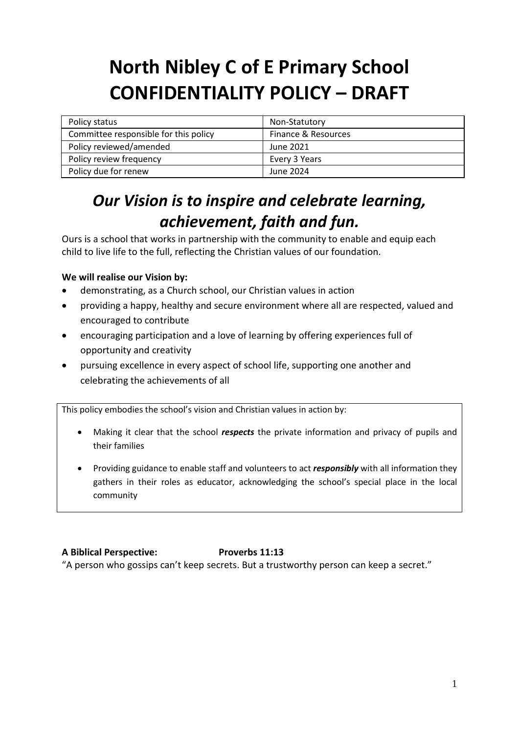# **North Nibley C of E Primary School CONFIDENTIALITY POLICY – DRAFT**

| Policy status                         | Non-Statutory       |
|---------------------------------------|---------------------|
| Committee responsible for this policy | Finance & Resources |
| Policy reviewed/amended               | June 2021           |
| Policy review frequency               | Every 3 Years       |
| Policy due for renew                  | June 2024           |

## *Our Vision is to inspire and celebrate learning, achievement, faith and fun.*

Ours is a school that works in partnership with the community to enable and equip each child to live life to the full, reflecting the Christian values of our foundation.

### **We will realise our Vision by:**

- demonstrating, as a Church school, our Christian values in action
- providing a happy, healthy and secure environment where all are respected, valued and encouraged to contribute
- encouraging participation and a love of learning by offering experiences full of opportunity and creativity
- pursuing excellence in every aspect of school life, supporting one another and celebrating the achievements of all

This policy embodies the school's vision and Christian values in action by:

- Making it clear that the school *respects* the private information and privacy of pupils and their families
- Providing guidance to enable staff and volunteers to act *responsibly* with all information they gathers in their roles as educator, acknowledging the school's special place in the local community

### **A Biblical Perspective: Proverbs 11:13**

"A person who gossips can't keep secrets. But a trustworthy person can keep a secret."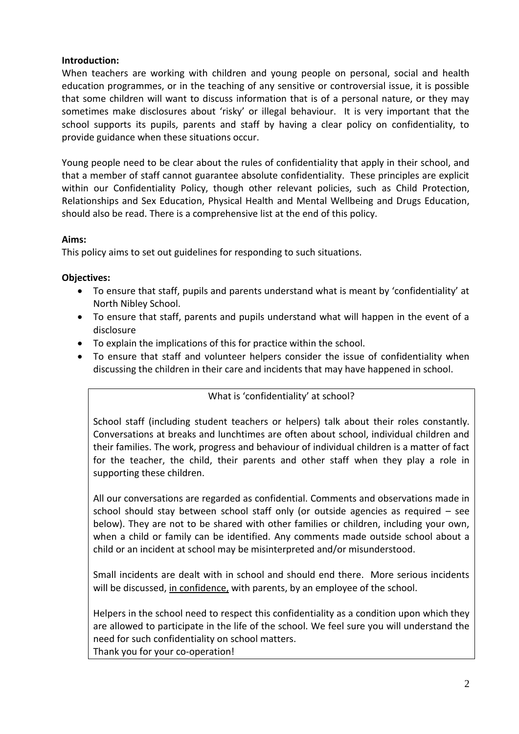#### **Introduction:**

When teachers are working with children and young people on personal, social and health education programmes, or in the teaching of any sensitive or controversial issue, it is possible that some children will want to discuss information that is of a personal nature, or they may sometimes make disclosures about 'risky' or illegal behaviour. It is very important that the school supports its pupils, parents and staff by having a clear policy on confidentiality, to provide guidance when these situations occur.

Young people need to be clear about the rules of confidentiality that apply in their school, and that a member of staff cannot guarantee absolute confidentiality. These principles are explicit within our Confidentiality Policy, though other relevant policies, such as Child Protection, Relationships and Sex Education, Physical Health and Mental Wellbeing and Drugs Education, should also be read. There is a comprehensive list at the end of this policy.

#### **Aims:**

This policy aims to set out guidelines for responding to such situations.

#### **Objectives:**

- To ensure that staff, pupils and parents understand what is meant by 'confidentiality' at North Nibley School.
- To ensure that staff, parents and pupils understand what will happen in the event of a disclosure
- To explain the implications of this for practice within the school.
- To ensure that staff and volunteer helpers consider the issue of confidentiality when discussing the children in their care and incidents that may have happened in school.

#### What is 'confidentiality' at school?

School staff (including student teachers or helpers) talk about their roles constantly. Conversations at breaks and lunchtimes are often about school, individual children and their families. The work, progress and behaviour of individual children is a matter of fact for the teacher, the child, their parents and other staff when they play a role in supporting these children.

All our conversations are regarded as confidential. Comments and observations made in school should stay between school staff only (or outside agencies as required – see below). They are not to be shared with other families or children, including your own, when a child or family can be identified. Any comments made outside school about a child or an incident at school may be misinterpreted and/or misunderstood.

Small incidents are dealt with in school and should end there. More serious incidents will be discussed, in confidence, with parents, by an employee of the school.

Helpers in the school need to respect this confidentiality as a condition upon which they are allowed to participate in the life of the school. We feel sure you will understand the need for such confidentiality on school matters. Thank you for your co-operation!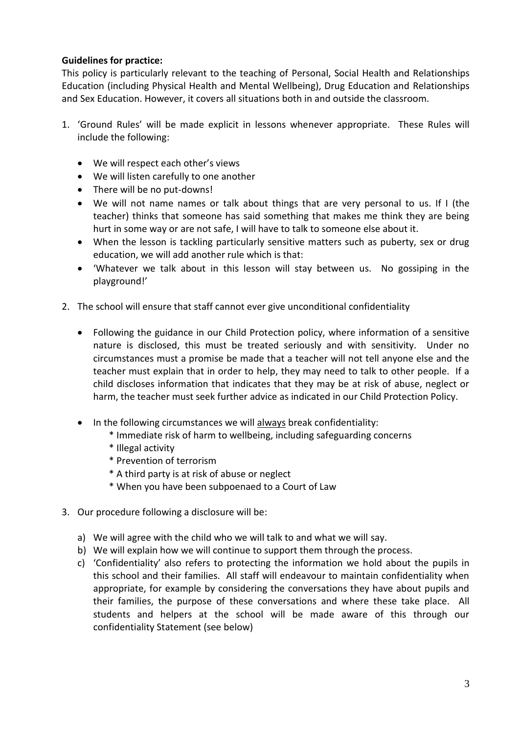#### **Guidelines for practice:**

This policy is particularly relevant to the teaching of Personal, Social Health and Relationships Education (including Physical Health and Mental Wellbeing), Drug Education and Relationships and Sex Education. However, it covers all situations both in and outside the classroom.

- 1. 'Ground Rules' will be made explicit in lessons whenever appropriate. These Rules will include the following:
	- We will respect each other's views
	- We will listen carefully to one another
	- There will be no put-downs!
	- We will not name names or talk about things that are very personal to us. If I (the teacher) thinks that someone has said something that makes me think they are being hurt in some way or are not safe, I will have to talk to someone else about it.
	- When the lesson is tackling particularly sensitive matters such as puberty, sex or drug education, we will add another rule which is that:
	- 'Whatever we talk about in this lesson will stay between us. No gossiping in the playground!'
- 2. The school will ensure that staff cannot ever give unconditional confidentiality
	- Following the guidance in our Child Protection policy, where information of a sensitive nature is disclosed, this must be treated seriously and with sensitivity. Under no circumstances must a promise be made that a teacher will not tell anyone else and the teacher must explain that in order to help, they may need to talk to other people. If a child discloses information that indicates that they may be at risk of abuse, neglect or harm, the teacher must seek further advice as indicated in our Child Protection Policy.
	- In the following circumstances we will always break confidentiality:
		- \* Immediate risk of harm to wellbeing, including safeguarding concerns
		- \* Illegal activity
		- \* Prevention of terrorism
		- \* A third party is at risk of abuse or neglect
		- \* When you have been subpoenaed to a Court of Law
- 3. Our procedure following a disclosure will be:
	- a) We will agree with the child who we will talk to and what we will say.
	- b) We will explain how we will continue to support them through the process.
	- c) 'Confidentiality' also refers to protecting the information we hold about the pupils in this school and their families. All staff will endeavour to maintain confidentiality when appropriate, for example by considering the conversations they have about pupils and their families, the purpose of these conversations and where these take place. All students and helpers at the school will be made aware of this through our confidentiality Statement (see below)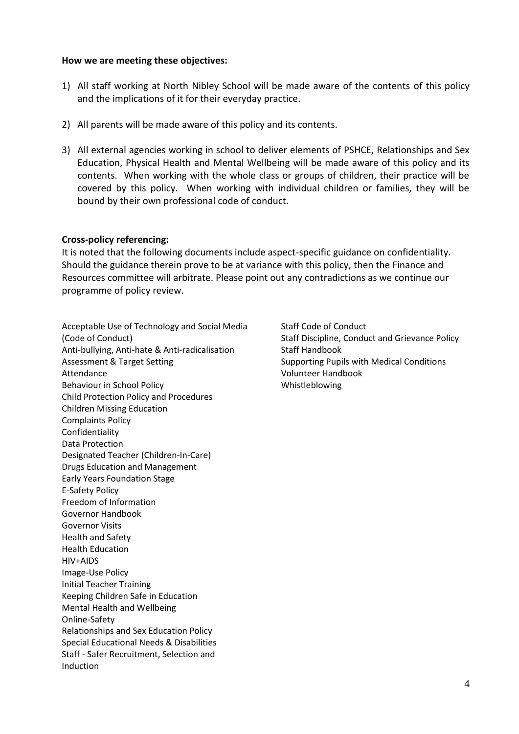#### **How we are meeting these objectives:**

- 1) All staff working at North Nibley School will be made aware of the contents of this policy and the implications of it for their everyday practice.
- 2) All parents will be made aware of this policy and its contents.
- 3) All external agencies working in school to deliver elements of PSHCE, Relationships and Sex Education, Physical Health and Mental Wellbeing will be made aware of this policy and its contents. When working with the whole class or groups of children, their practice will be covered by this policy. When working with individual children or families, they will be bound by their own professional code of conduct.

#### **Cross-policy referencing:**

It is noted that the following documents include aspect-specific guidance on confidentiality. Should the guidance therein prove to be at variance with this policy, then the Finance and Resources committee will arbitrate. Please point out any contradictions as we continue our programme of policy review.

Acceptable Use of Technology and Social Media (Code of Conduct) Anti-bullying, Anti-hate & Anti-radicalisation Assessment & Target Setting Attendance Behaviour in School Policy Child Protection Policy and Procedures Children Missing Education Complaints Policy Confidentiality Data Protection Designated Teacher (Children-In-Care) Drugs Education and Management Early Years Foundation Stage E-Safety Policy Freedom of Information Governor Handbook Governor Visits Health and Safety Health Education HIV+AIDS Image-Use Policy Initial Teacher Training Keeping Children Safe in Education Mental Health and Wellbeing Online-Safety Relationships and Sex Education Policy Special Educational Needs & Disabilities Staff - Safer Recruitment, Selection and Induction

Staff Code of Conduct Staff Discipline, Conduct and Grievance Policy Staff Handbook Supporting Pupils with Medical Conditions Volunteer Handbook Whistleblowing